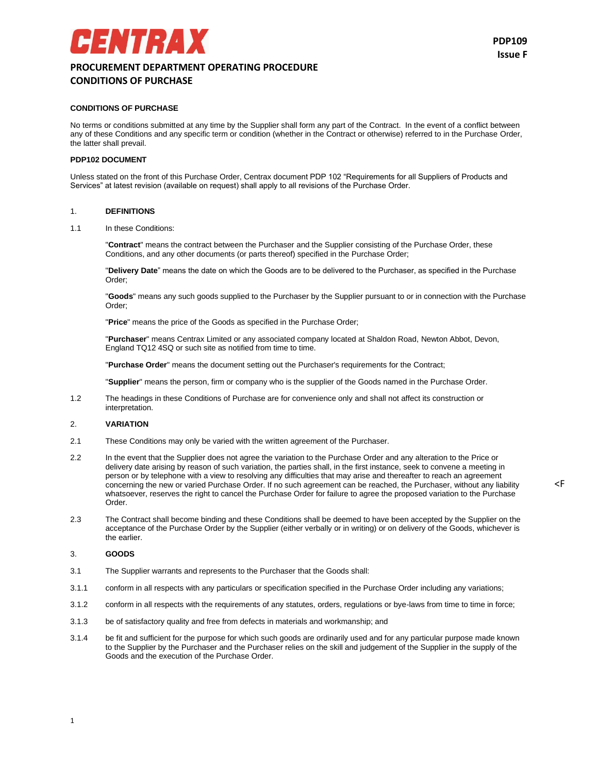# ENTRAX **PROCUREMENT DEPARTMENT OPERATING PROCEDURE CONDITIONS OF PURCHASE**

<F

## **CONDITIONS OF PURCHASE**

No terms or conditions submitted at any time by the Supplier shall form any part of the Contract. In the event of a conflict between any of these Conditions and any specific term or condition (whether in the Contract or otherwise) referred to in the Purchase Order, the latter shall prevail.

#### **PDP102 DOCUMENT**

Unless stated on the front of this Purchase Order, Centrax document PDP 102 "Requirements for all Suppliers of Products and Services" at latest revision (available on request) shall apply to all revisions of the Purchase Order.

#### 1. **DEFINITIONS**

1.1 In these Conditions:

"**Contract**" means the contract between the Purchaser and the Supplier consisting of the Purchase Order, these Conditions, and any other documents (or parts thereof) specified in the Purchase Order;

"**Delivery Date**" means the date on which the Goods are to be delivered to the Purchaser, as specified in the Purchase Order;

"**Goods**" means any such goods supplied to the Purchaser by the Supplier pursuant to or in connection with the Purchase Order;

"**Price**" means the price of the Goods as specified in the Purchase Order;

"**Purchaser**" means Centrax Limited or any associated company located at Shaldon Road, Newton Abbot, Devon, England TQ12 4SQ or such site as notified from time to time.

"**Purchase Order**" means the document setting out the Purchaser's requirements for the Contract;

"**Supplier**" means the person, firm or company who is the supplier of the Goods named in the Purchase Order.

1.2 The headings in these Conditions of Purchase are for convenience only and shall not affect its construction or interpretation.

#### 2. **VARIATION**

- 2.1 These Conditions may only be varied with the written agreement of the Purchaser.
- 2.2 In the event that the Supplier does not agree the variation to the Purchase Order and any alteration to the Price or delivery date arising by reason of such variation, the parties shall, in the first instance, seek to convene a meeting in person or by telephone with a view to resolving any difficulties that may arise and thereafter to reach an agreement concerning the new or varied Purchase Order. If no such agreement can be reached, the Purchaser, without any liability whatsoever, reserves the right to cancel the Purchase Order for failure to agree the proposed variation to the Purchase Order.
- 2.3 The Contract shall become binding and these Conditions shall be deemed to have been accepted by the Supplier on the acceptance of the Purchase Order by the Supplier (either verbally or in writing) or on delivery of the Goods, whichever is the earlier.

#### 3. **GOODS**

- 3.1 The Supplier warrants and represents to the Purchaser that the Goods shall:
- 3.1.1 conform in all respects with any particulars or specification specified in the Purchase Order including any variations;
- 3.1.2 conform in all respects with the requirements of any statutes, orders, regulations or bye-laws from time to time in force;
- 3.1.3 be of satisfactory quality and free from defects in materials and workmanship; and
- 3.1.4 be fit and sufficient for the purpose for which such goods are ordinarily used and for any particular purpose made known to the Supplier by the Purchaser and the Purchaser relies on the skill and judgement of the Supplier in the supply of the Goods and the execution of the Purchase Order.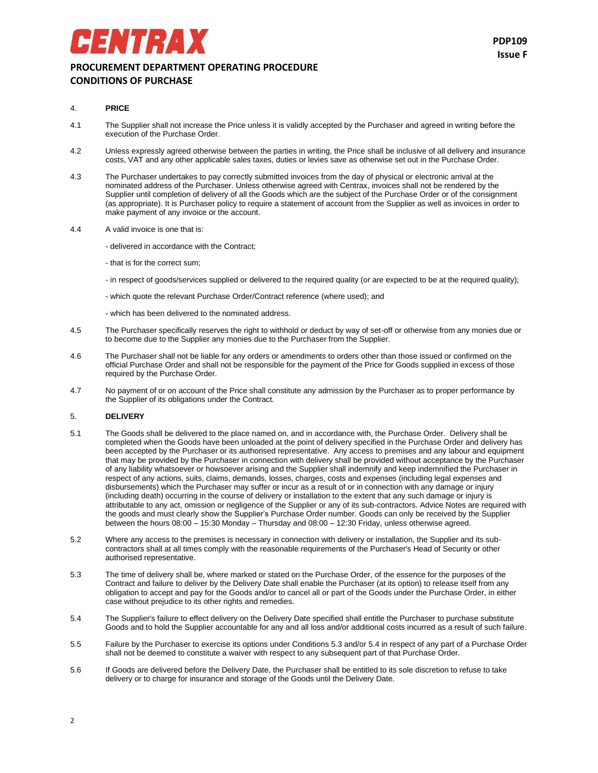## **PROCUREMENT DEPARTMENT OPERATING PROCEDURE CONDITIONS OF PURCHASE**

## 4. **PRICE**

- 4.1 The Supplier shall not increase the Price unless it is validly accepted by the Purchaser and agreed in writing before the execution of the Purchase Order.
- 4.2 Unless expressly agreed otherwise between the parties in writing, the Price shall be inclusive of all delivery and insurance costs, VAT and any other applicable sales taxes, duties or levies save as otherwise set out in the Purchase Order.
- 4.3 The Purchaser undertakes to pay correctly submitted invoices from the day of physical or electronic arrival at the nominated address of the Purchaser. Unless otherwise agreed with Centrax, invoices shall not be rendered by the Supplier until completion of delivery of all the Goods which are the subject of the Purchase Order or of the consignment (as appropriate). It is Purchaser policy to require a statement of account from the Supplier as well as invoices in order to make payment of any invoice or the account.
- 4.4 A valid invoice is one that is:
	- delivered in accordance with the Contract;
	- that is for the correct sum;

ENTRAX

- in respect of goods/services supplied or delivered to the required quality (or are expected to be at the required quality);
- which quote the relevant Purchase Order/Contract reference (where used); and
- which has been delivered to the nominated address.
- 4.5 The Purchaser specifically reserves the right to withhold or deduct by way of set-off or otherwise from any monies due or to become due to the Supplier any monies due to the Purchaser from the Supplier.
- 4.6 The Purchaser shall not be liable for any orders or amendments to orders other than those issued or confirmed on the official Purchase Order and shall not be responsible for the payment of the Price for Goods supplied in excess of those required by the Purchase Order.
- 4.7 No payment of or on account of the Price shall constitute any admission by the Purchaser as to proper performance by the Supplier of its obligations under the Contract.

## 5. **DELIVERY**

- 5.1 The Goods shall be delivered to the place named on, and in accordance with, the Purchase Order. Delivery shall be completed when the Goods have been unloaded at the point of delivery specified in the Purchase Order and delivery has been accepted by the Purchaser or its authorised representative. Any access to premises and any labour and equipment that may be provided by the Purchaser in connection with delivery shall be provided without acceptance by the Purchaser of any liability whatsoever or howsoever arising and the Supplier shall indemnify and keep indemnified the Purchaser in respect of any actions, suits, claims, demands, losses, charges, costs and expenses (including legal expenses and disbursements) which the Purchaser may suffer or incur as a result of or in connection with any damage or injury (including death) occurring in the course of delivery or installation to the extent that any such damage or injury is attributable to any act, omission or negligence of the Supplier or any of its sub-contractors. Advice Notes are required with the goods and must clearly show the Supplier's Purchase Order number. Goods can only be received by the Supplier between the hours 08:00 – 15:30 Monday – Thursday and 08:00 – 12:30 Friday, unless otherwise agreed.
- 5.2 Where any access to the premises is necessary in connection with delivery or installation, the Supplier and its subcontractors shall at all times comply with the reasonable requirements of the Purchaser's Head of Security or other authorised representative.
- 5.3 The time of delivery shall be, where marked or stated on the Purchase Order, of the essence for the purposes of the Contract and failure to deliver by the Delivery Date shall enable the Purchaser (at its option) to release itself from any obligation to accept and pay for the Goods and/or to cancel all or part of the Goods under the Purchase Order, in either case without prejudice to its other rights and remedies.
- 5.4 The Supplier's failure to effect delivery on the Delivery Date specified shall entitle the Purchaser to purchase substitute Goods and to hold the Supplier accountable for any and all loss and/or additional costs incurred as a result of such failure.
- 5.5 Failure by the Purchaser to exercise its options under Conditions 5.3 and/or 5.4 in respect of any part of a Purchase Order shall not be deemed to constitute a waiver with respect to any subsequent part of that Purchase Order.
- 5.6 If Goods are delivered before the Delivery Date, the Purchaser shall be entitled to its sole discretion to refuse to take delivery or to charge for insurance and storage of the Goods until the Delivery Date.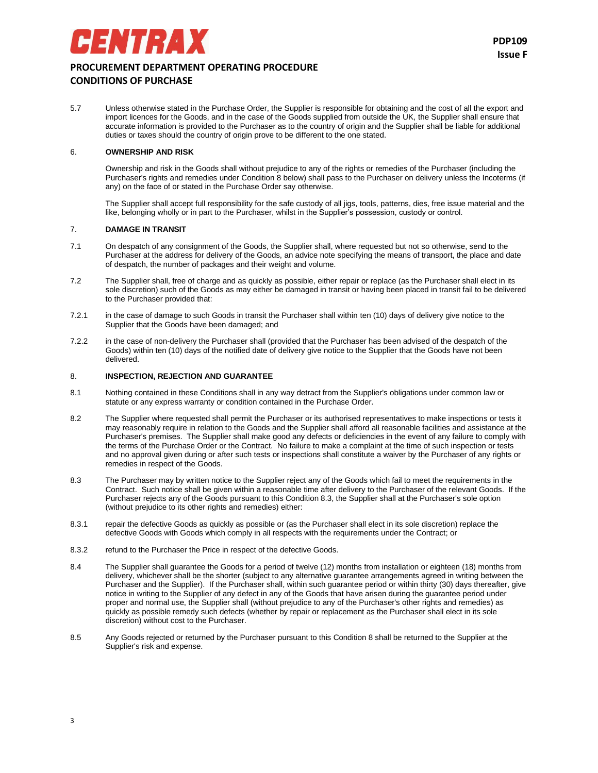

5.7 Unless otherwise stated in the Purchase Order, the Supplier is responsible for obtaining and the cost of all the export and import licences for the Goods, and in the case of the Goods supplied from outside the UK, the Supplier shall ensure that accurate information is provided to the Purchaser as to the country of origin and the Supplier shall be liable for additional duties or taxes should the country of origin prove to be different to the one stated.

## 6. **OWNERSHIP AND RISK**

Ownership and risk in the Goods shall without prejudice to any of the rights or remedies of the Purchaser (including the Purchaser's rights and remedies under Condition 8 below) shall pass to the Purchaser on delivery unless the Incoterms (if any) on the face of or stated in the Purchase Order say otherwise.

The Supplier shall accept full responsibility for the safe custody of all jigs, tools, patterns, dies, free issue material and the like, belonging wholly or in part to the Purchaser, whilst in the Supplier's possession, custody or control.

#### 7. **DAMAGE IN TRANSIT**

- 7.1 On despatch of any consignment of the Goods, the Supplier shall, where requested but not so otherwise, send to the Purchaser at the address for delivery of the Goods, an advice note specifying the means of transport, the place and date of despatch, the number of packages and their weight and volume.
- 7.2 The Supplier shall, free of charge and as quickly as possible, either repair or replace (as the Purchaser shall elect in its sole discretion) such of the Goods as may either be damaged in transit or having been placed in transit fail to be delivered to the Purchaser provided that:
- 7.2.1 in the case of damage to such Goods in transit the Purchaser shall within ten (10) days of delivery give notice to the Supplier that the Goods have been damaged; and
- 7.2.2 in the case of non-delivery the Purchaser shall (provided that the Purchaser has been advised of the despatch of the Goods) within ten (10) days of the notified date of delivery give notice to the Supplier that the Goods have not been delivered.

## 8. **INSPECTION, REJECTION AND GUARANTEE**

- 8.1 Nothing contained in these Conditions shall in any way detract from the Supplier's obligations under common law or statute or any express warranty or condition contained in the Purchase Order.
- 8.2 The Supplier where requested shall permit the Purchaser or its authorised representatives to make inspections or tests it may reasonably require in relation to the Goods and the Supplier shall afford all reasonable facilities and assistance at the Purchaser's premises. The Supplier shall make good any defects or deficiencies in the event of any failure to comply with the terms of the Purchase Order or the Contract. No failure to make a complaint at the time of such inspection or tests and no approval given during or after such tests or inspections shall constitute a waiver by the Purchaser of any rights or remedies in respect of the Goods.
- 8.3 The Purchaser may by written notice to the Supplier reject any of the Goods which fail to meet the requirements in the Contract. Such notice shall be given within a reasonable time after delivery to the Purchaser of the relevant Goods. If the Purchaser rejects any of the Goods pursuant to this Condition 8.3, the Supplier shall at the Purchaser's sole option (without prejudice to its other rights and remedies) either:
- 8.3.1 repair the defective Goods as quickly as possible or (as the Purchaser shall elect in its sole discretion) replace the defective Goods with Goods which comply in all respects with the requirements under the Contract; or
- 8.3.2 refund to the Purchaser the Price in respect of the defective Goods.
- 8.4 The Supplier shall guarantee the Goods for a period of twelve (12) months from installation or eighteen (18) months from delivery, whichever shall be the shorter (subject to any alternative guarantee arrangements agreed in writing between the Purchaser and the Supplier). If the Purchaser shall, within such guarantee period or within thirty (30) days thereafter, give notice in writing to the Supplier of any defect in any of the Goods that have arisen during the guarantee period under proper and normal use, the Supplier shall (without prejudice to any of the Purchaser's other rights and remedies) as quickly as possible remedy such defects (whether by repair or replacement as the Purchaser shall elect in its sole discretion) without cost to the Purchaser.
- 8.5 Any Goods rejected or returned by the Purchaser pursuant to this Condition 8 shall be returned to the Supplier at the Supplier's risk and expense.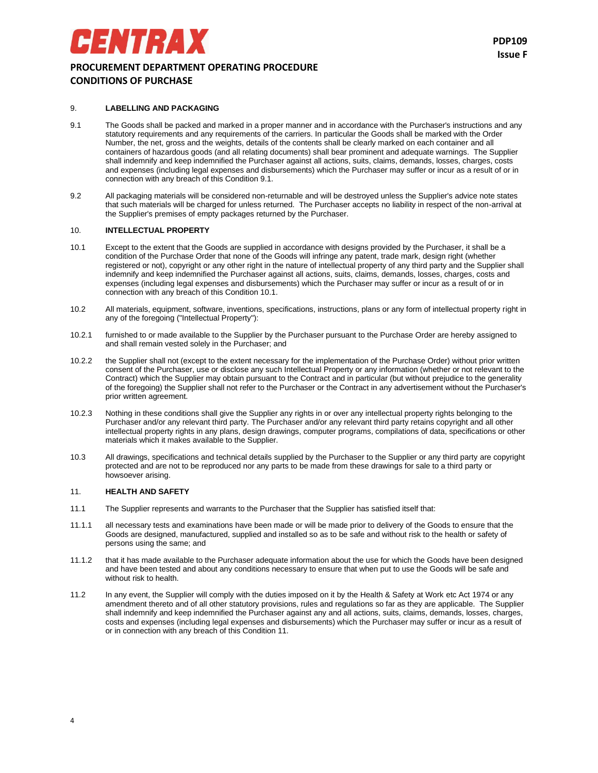## **PROCUREMENT DEPARTMENT OPERATING PROCEDURE CONDITIONS OF PURCHASE**

#### 9. **LABELLING AND PACKAGING**

ENTRAX

- 9.1 The Goods shall be packed and marked in a proper manner and in accordance with the Purchaser's instructions and any statutory requirements and any requirements of the carriers. In particular the Goods shall be marked with the Order Number, the net, gross and the weights, details of the contents shall be clearly marked on each container and all containers of hazardous goods (and all relating documents) shall bear prominent and adequate warnings. The Supplier shall indemnify and keep indemnified the Purchaser against all actions, suits, claims, demands, losses, charges, costs and expenses (including legal expenses and disbursements) which the Purchaser may suffer or incur as a result of or in connection with any breach of this Condition 9.1.
- 9.2 All packaging materials will be considered non-returnable and will be destroyed unless the Supplier's advice note states that such materials will be charged for unless returned. The Purchaser accepts no liability in respect of the non-arrival at the Supplier's premises of empty packages returned by the Purchaser.

## 10. **INTELLECTUAL PROPERTY**

- 10.1 Except to the extent that the Goods are supplied in accordance with designs provided by the Purchaser, it shall be a condition of the Purchase Order that none of the Goods will infringe any patent, trade mark, design right (whether registered or not), copyright or any other right in the nature of intellectual property of any third party and the Supplier shall indemnify and keep indemnified the Purchaser against all actions, suits, claims, demands, losses, charges, costs and expenses (including legal expenses and disbursements) which the Purchaser may suffer or incur as a result of or in connection with any breach of this Condition 10.1.
- 10.2 All materials, equipment, software, inventions, specifications, instructions, plans or any form of intellectual property right in any of the foregoing ("Intellectual Property"):
- 10.2.1 furnished to or made available to the Supplier by the Purchaser pursuant to the Purchase Order are hereby assigned to and shall remain vested solely in the Purchaser; and
- 10.2.2 the Supplier shall not (except to the extent necessary for the implementation of the Purchase Order) without prior written consent of the Purchaser, use or disclose any such Intellectual Property or any information (whether or not relevant to the Contract) which the Supplier may obtain pursuant to the Contract and in particular (but without prejudice to the generality of the foregoing) the Supplier shall not refer to the Purchaser or the Contract in any advertisement without the Purchaser's prior written agreement.
- 10.2.3 Nothing in these conditions shall give the Supplier any rights in or over any intellectual property rights belonging to the Purchaser and/or any relevant third party. The Purchaser and/or any relevant third party retains copyright and all other intellectual property rights in any plans, design drawings, computer programs, compilations of data, specifications or other materials which it makes available to the Supplier.
- 10.3 All drawings, specifications and technical details supplied by the Purchaser to the Supplier or any third party are copyright protected and are not to be reproduced nor any parts to be made from these drawings for sale to a third party or howsoever arising.

#### 11. **HEALTH AND SAFETY**

- 11.1 The Supplier represents and warrants to the Purchaser that the Supplier has satisfied itself that:
- 11.1.1 all necessary tests and examinations have been made or will be made prior to delivery of the Goods to ensure that the Goods are designed, manufactured, supplied and installed so as to be safe and without risk to the health or safety of persons using the same; and
- 11.1.2 that it has made available to the Purchaser adequate information about the use for which the Goods have been designed and have been tested and about any conditions necessary to ensure that when put to use the Goods will be safe and without risk to health.
- 11.2 In any event, the Supplier will comply with the duties imposed on it by the Health & Safety at Work etc Act 1974 or any amendment thereto and of all other statutory provisions, rules and regulations so far as they are applicable. The Supplier shall indemnify and keep indemnified the Purchaser against any and all actions, suits, claims, demands, losses, charges, costs and expenses (including legal expenses and disbursements) which the Purchaser may suffer or incur as a result of or in connection with any breach of this Condition 11.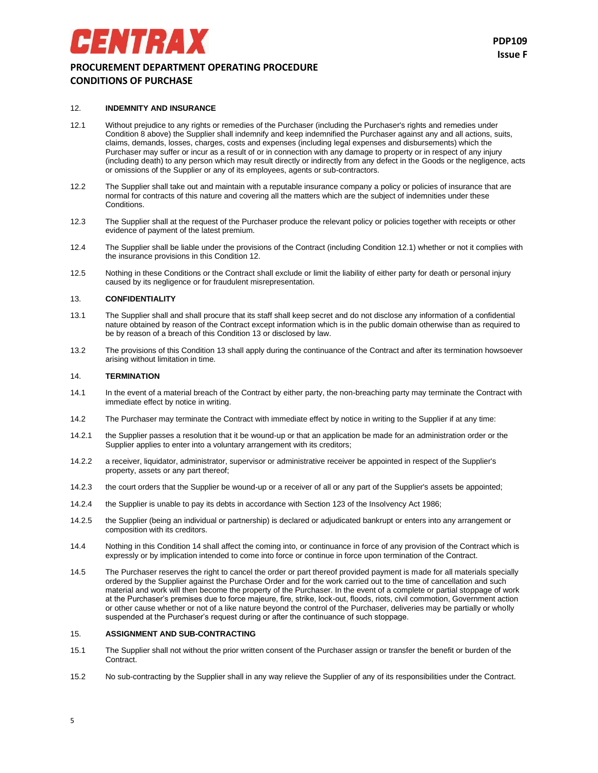## **PROCUREMENT DEPARTMENT OPERATING PROCEDURE CONDITIONS OF PURCHASE**

#### 12. **INDEMNITY AND INSURANCE**

ENTRAX

- 12.1 Without prejudice to any rights or remedies of the Purchaser (including the Purchaser's rights and remedies under Condition 8 above) the Supplier shall indemnify and keep indemnified the Purchaser against any and all actions, suits, claims, demands, losses, charges, costs and expenses (including legal expenses and disbursements) which the Purchaser may suffer or incur as a result of or in connection with any damage to property or in respect of any injury (including death) to any person which may result directly or indirectly from any defect in the Goods or the negligence, acts or omissions of the Supplier or any of its employees, agents or sub-contractors.
- 12.2 The Supplier shall take out and maintain with a reputable insurance company a policy or policies of insurance that are normal for contracts of this nature and covering all the matters which are the subject of indemnities under these Conditions.
- 12.3 The Supplier shall at the request of the Purchaser produce the relevant policy or policies together with receipts or other evidence of payment of the latest premium.
- 12.4 The Supplier shall be liable under the provisions of the Contract (including Condition 12.1) whether or not it complies with the insurance provisions in this Condition 12.
- 12.5 Nothing in these Conditions or the Contract shall exclude or limit the liability of either party for death or personal injury caused by its negligence or for fraudulent misrepresentation.

#### 13. **CONFIDENTIALITY**

- 13.1 The Supplier shall and shall procure that its staff shall keep secret and do not disclose any information of a confidential nature obtained by reason of the Contract except information which is in the public domain otherwise than as required to be by reason of a breach of this Condition 13 or disclosed by law.
- 13.2 The provisions of this Condition 13 shall apply during the continuance of the Contract and after its termination howsoever arising without limitation in time.

#### 14. **TERMINATION**

- 14.1 In the event of a material breach of the Contract by either party, the non-breaching party may terminate the Contract with immediate effect by notice in writing.
- 14.2 The Purchaser may terminate the Contract with immediate effect by notice in writing to the Supplier if at any time:
- 14.2.1 the Supplier passes a resolution that it be wound-up or that an application be made for an administration order or the Supplier applies to enter into a voluntary arrangement with its creditors;
- 14.2.2 a receiver, liquidator, administrator, supervisor or administrative receiver be appointed in respect of the Supplier's property, assets or any part thereof;
- 14.2.3 the court orders that the Supplier be wound-up or a receiver of all or any part of the Supplier's assets be appointed;
- 14.2.4 the Supplier is unable to pay its debts in accordance with Section 123 of the Insolvency Act 1986;
- 14.2.5 the Supplier (being an individual or partnership) is declared or adjudicated bankrupt or enters into any arrangement or composition with its creditors.
- 14.4 Nothing in this Condition 14 shall affect the coming into, or continuance in force of any provision of the Contract which is expressly or by implication intended to come into force or continue in force upon termination of the Contract.
- 14.5 The Purchaser reserves the right to cancel the order or part thereof provided payment is made for all materials specially ordered by the Supplier against the Purchase Order and for the work carried out to the time of cancellation and such material and work will then become the property of the Purchaser. In the event of a complete or partial stoppage of work at the Purchaser's premises due to force majeure, fire, strike, lock-out, floods, riots, civil commotion, Government action or other cause whether or not of a like nature beyond the control of the Purchaser, deliveries may be partially or wholly suspended at the Purchaser's request during or after the continuance of such stoppage.

## 15. **ASSIGNMENT AND SUB-CONTRACTING**

- 15.1 The Supplier shall not without the prior written consent of the Purchaser assign or transfer the benefit or burden of the Contract.
- 15.2 No sub-contracting by the Supplier shall in any way relieve the Supplier of any of its responsibilities under the Contract.